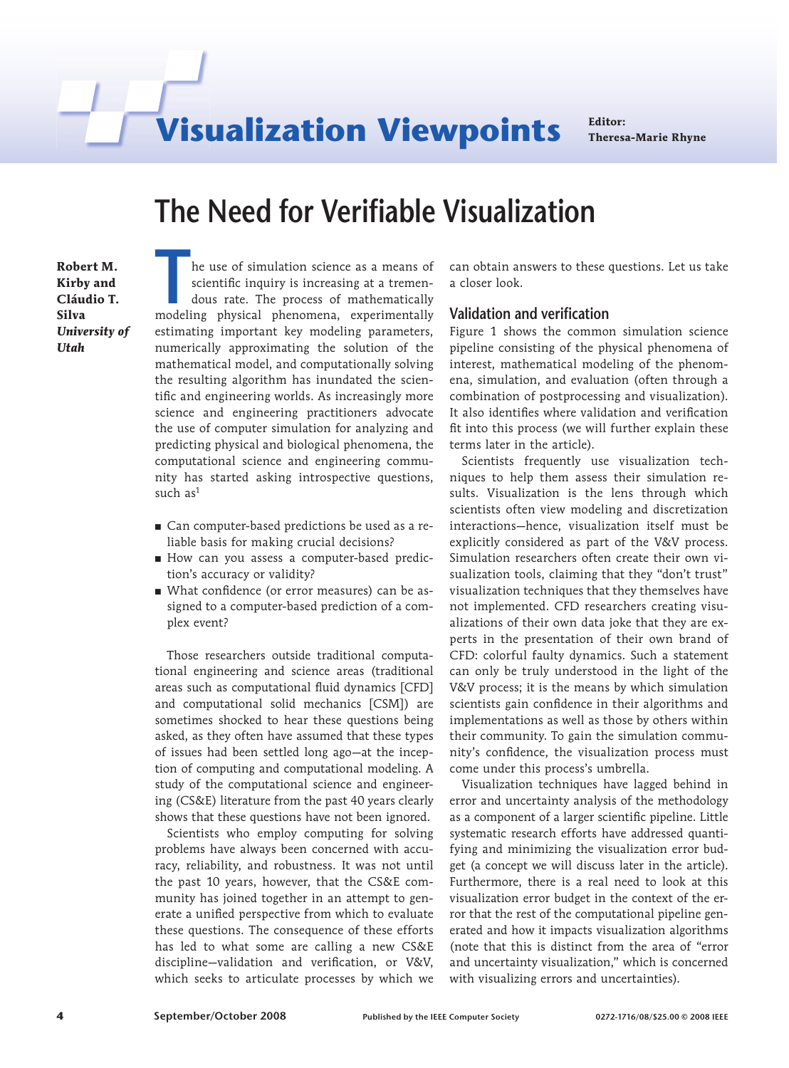**Theresa-Marie Rhyne**

# **Visualization Viewpoints Editor:**

# **The Need for Verifiable Visualization**

**Robert M. Kirby and Cláudio T. Silva** *University of Utah*

**T**he use of simulation science as a means of scientific inquiry is increasing at a tremendous rate. The process of mathematically modeling physical phenomena, experimentally estimating important key modeling parameters, numerically approximating the solution of the mathematical model, and computationally solving the resulting algorithm has inundated the scientific and engineering worlds. As increasingly more science and engineering practitioners advocate the use of computer simulation for analyzing and predicting physical and biological phenomena, the computational science and engineering community has started asking introspective questions, such  $as<sup>1</sup>$ 

- Can computer-based predictions be used as a reliable basis for making crucial decisions?
- How can you assess a computer-based prediction's accuracy or validity?
- What confidence (or error measures) can be assigned to a computer-based prediction of a complex event?

Those researchers outside traditional computational engineering and science areas (traditional areas such as computational fluid dynamics [CFD] and computational solid mechanics [CSM]) are sometimes shocked to hear these questions being asked, as they often have assumed that these types of issues had been settled long ago—at the inception of computing and computational modeling. A study of the computational science and engineering (CS&E) literature from the past 40 years clearly shows that these questions have not been ignored.

Scientists who employ computing for solving problems have always been concerned with accuracy, reliability, and robustness. It was not until the past 10 years, however, that the CS&E community has joined together in an attempt to generate a unified perspective from which to evaluate these questions. The consequence of these efforts has led to what some are calling a new CS&E discipline-validation and verification, or V&V, which seeks to articulate processes by which we can obtain answers to these questions. Let us take a closer look.

## **Validation and verification**

Figure 1 shows the common simulation science pipeline consisting of the physical phenomena of interest, mathematical modeling of the phenomena, simulation, and evaluation (often through a combination of postprocessing and visualization). It also identifies where validation and verification fit into this process (we will further explain these terms later in the article).

Scientists frequently use visualization techniques to help them assess their simulation results. Visualization is the lens through which scientists often view modeling and discretization interactions—hence, visualization itself must be explicitly considered as part of the V&V process. Simulation researchers often create their own visualization tools, claiming that they "don't trust" visualization techniques that they themselves have not implemented. CFD researchers creating visualizations of their own data joke that they are experts in the presentation of their own brand of CFD: colorful faulty dynamics. Such a statement can only be truly understood in the light of the V&V process; it is the means by which simulation scientists gain confidence in their algorithms and implementations as well as those by others within their community. To gain the simulation community's confidence, the visualization process must come under this process's umbrella.

Visualization techniques have lagged behind in error and uncertainty analysis of the methodology as a component of a larger scientific pipeline. Little systematic research efforts have addressed quantifying and minimizing the visualization error budget (a concept we will discuss later in the article). Furthermore, there is a real need to look at this visualization error budget in the context of the error that the rest of the computational pipeline generated and how it impacts visualization algorithms (note that this is distinct from the area of "error and uncertainty visualization," which is concerned with visualizing errors and uncertainties).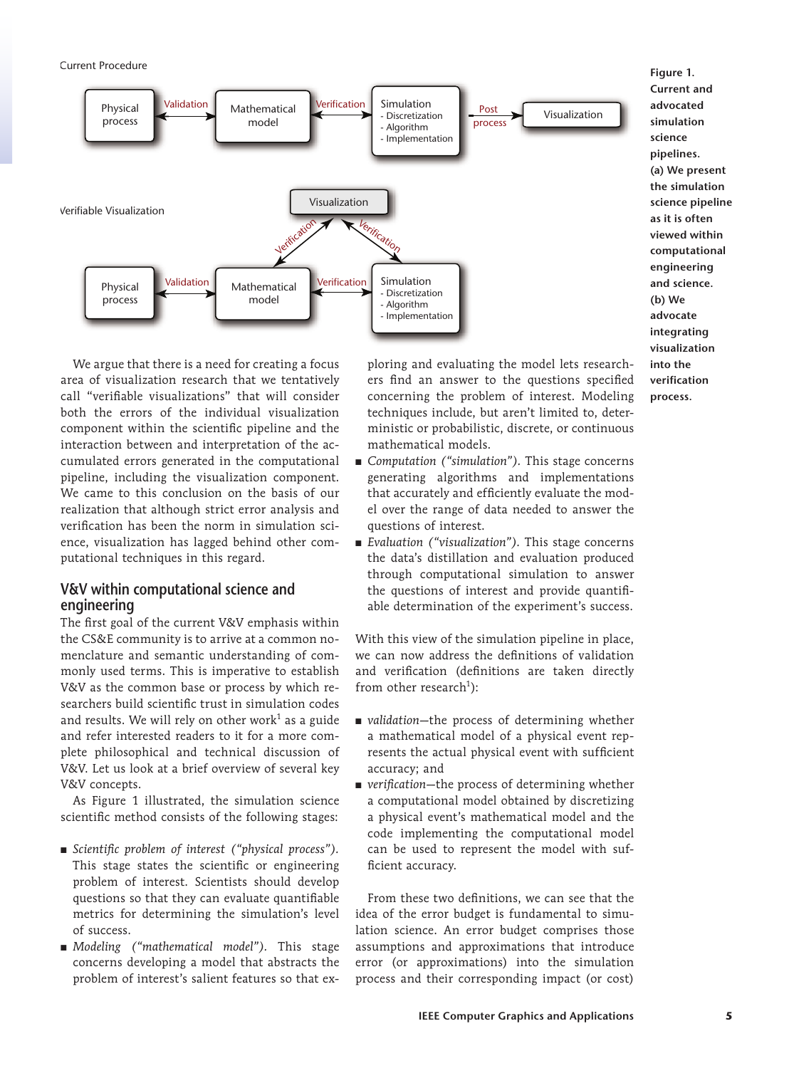Current Procedure



**Figure 1. Current and advocated simulation science pipelines. (a) We present the simulation science pipeline as it is often viewed within computational engineering and science. (b) We advocate integrating visualization into the verification process.**

We argue that there is a need for creating a focus area of visualization research that we tentatively call "verifiable visualizations" that will consider both the errors of the individual visualization component within the scientific pipeline and the interaction between and interpretation of the accumulated errors generated in the computational pipeline, including the visualization component. We came to this conclusion on the basis of our realization that although strict error analysis and verification has been the norm in simulation science, visualization has lagged behind other computational techniques in this regard.

## **V&V within computational science and engineering**

The first goal of the current V&V emphasis within the CS&E community is to arrive at a common nomenclature and semantic understanding of commonly used terms. This is imperative to establish V&V as the common base or process by which researchers build scientific trust in simulation codes and results. We will rely on other work $^1$  as a guide and refer interested readers to it for a more complete philosophical and technical discussion of V&V. Let us look at a brief overview of several key V&V concepts.

As Figure 1 illustrated, the simulation science scientific method consists of the following stages:

- *Scientific problem of interest ("physical process").* This stage states the scientific or engineering problem of interest. Scientists should develop questions so that they can evaluate quantifiable metrics for determining the simulation's level of success.
- *Modeling ("mathematical model").* This stage concerns developing a model that abstracts the problem of interest's salient features so that ex-

ploring and evaluating the model lets researchers find an answer to the questions specified concerning the problem of interest. Modeling techniques include, but aren't limited to, deterministic or probabilistic, discrete, or continuous mathematical models.

- Computation ("simulation"). This stage concerns generating algorithms and implementations that accurately and efficiently evaluate the model over the range of data needed to answer the questions of interest.
- *Evaluation ("visualization").* This stage concerns the data's distillation and evaluation produced through computational simulation to answer the questions of interest and provide quantifiable determination of the experiment's success. ■

With this view of the simulation pipeline in place, we can now address the definitions of validation and verification (definitions are taken directly from other research<sup>1</sup>):

- *validation*—the process of determining whether a mathematical model of a physical event represents the actual physical event with sufficient accuracy; and
- *verification*—the process of determining whether a computational model obtained by discretizing a physical event's mathematical model and the code implementing the computational model can be used to represent the model with sufficient accuracy.

From these two definitions, we can see that the idea of the error budget is fundamental to simulation science. An error budget comprises those assumptions and approximations that introduce error (or approximations) into the simulation process and their corresponding impact (or cost)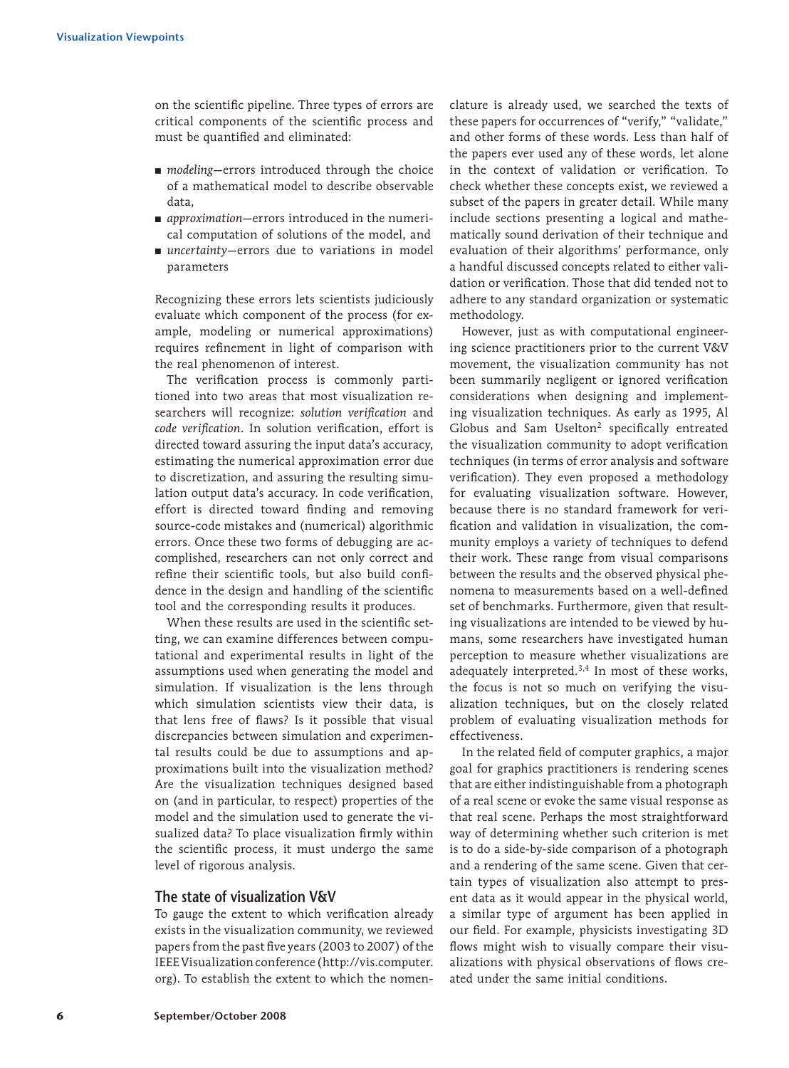on the scientific pipeline. Three types of errors are critical components of the scientific process and must be quantified and eliminated:

- *modeling*—errors introduced through the choice of a mathematical model to describe observable data,
- *approximation*—errors introduced in the numerical computation of solutions of the model, and
- *uncertainty*—errors due to variations in model parameters

Recognizing these errors lets scientists judiciously evaluate which component of the process (for example, modeling or numerical approximations) requires refinement in light of comparison with the real phenomenon of interest.

The verification process is commonly partitioned into two areas that most visualization researchers will recognize: *solution verification* and *code verification*. In solution verification, effort is directed toward assuring the input data's accuracy, estimating the numerical approximation error due to discretization, and assuring the resulting simulation output data's accuracy. In code verification, effort is directed toward finding and removing source-code mistakes and (numerical) algorithmic errors. Once these two forms of debugging are accomplished, researchers can not only correct and refine their scientific tools, but also build confidence in the design and handling of the scientific tool and the corresponding results it produces.

When these results are used in the scientific setting, we can examine differences between computational and experimental results in light of the assumptions used when generating the model and simulation. If visualization is the lens through which simulation scientists view their data, is that lens free of flaws? Is it possible that visual discrepancies between simulation and experimental results could be due to assumptions and approximations built into the visualization method? Are the visualization techniques designed based on (and in particular, to respect) properties of the model and the simulation used to generate the visualized data? To place visualization firmly within the scientific process, it must undergo the same level of rigorous analysis.

#### **The state of visualization V&V**

To gauge the extent to which verification already exists in the visualization community, we reviewed papers from the past five years (2003 to 2007) of the IEEE Visualization conference (http://vis.computer. org). To establish the extent to which the nomenclature is already used, we searched the texts of these papers for occurrences of "verify," "validate," and other forms of these words. Less than half of the papers ever used any of these words, let alone in the context of validation or verification. To check whether these concepts exist, we reviewed a subset of the papers in greater detail. While many include sections presenting a logical and mathematically sound derivation of their technique and evaluation of their algorithms' performance, only a handful discussed concepts related to either validation or verification. Those that did tended not to adhere to any standard organization or systematic methodology.

However, just as with computational engineering science practitioners prior to the current V&V movement, the visualization community has not been summarily negligent or ignored verification considerations when designing and implementing visualization techniques. As early as 1995, Al Globus and Sam Uselton<sup>2</sup> specifically entreated the visualization community to adopt verification techniques (in terms of error analysis and software verification). They even proposed a methodology for evaluating visualization software. However, because there is no standard framework for verification and validation in visualization, the community employs a variety of techniques to defend their work. These range from visual comparisons between the results and the observed physical phenomena to measurements based on a well-defined set of benchmarks. Furthermore, given that resulting visualizations are intended to be viewed by humans, some researchers have investigated human perception to measure whether visualizations are adequately interpreted. $3,4$  In most of these works, the focus is not so much on verifying the visualization techniques, but on the closely related problem of evaluating visualization methods for effectiveness.

In the related field of computer graphics, a major goal for graphics practitioners is rendering scenes that are either indistinguishable from a photograph of a real scene or evoke the same visual response as that real scene. Perhaps the most straightforward way of determining whether such criterion is met is to do a side-by-side comparison of a photograph and a rendering of the same scene. Given that certain types of visualization also attempt to present data as it would appear in the physical world, a similar type of argument has been applied in our field. For example, physicists investigating 3D flows might wish to visually compare their visualizations with physical observations of flows created under the same initial conditions.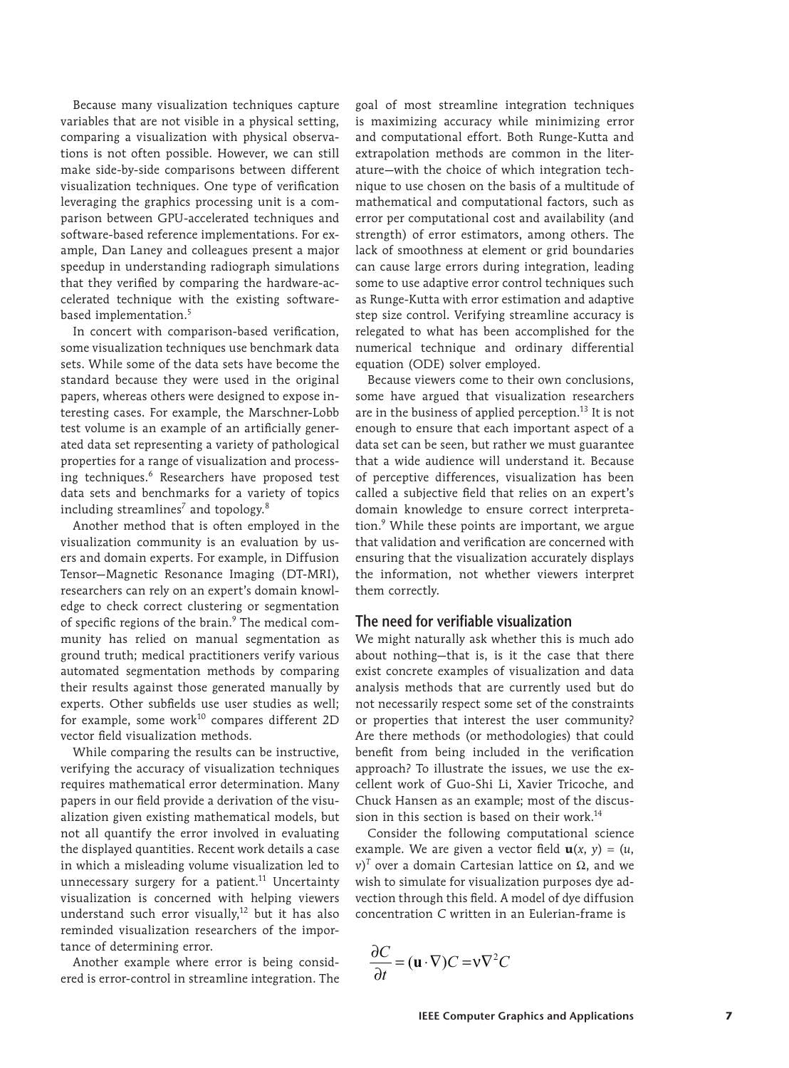Because many visualization techniques capture variables that are not visible in a physical setting, comparing a visualization with physical observations is not often possible. However, we can still make side-by-side comparisons between different visualization techniques. One type of verification leveraging the graphics processing unit is a comparison between GPU-accelerated techniques and software-based reference implementations. For example, Dan Laney and colleagues present a major speedup in understanding radiograph simulations that they verified by comparing the hardware-accelerated technique with the existing softwarebased implementation.<sup>5</sup>

In concert with comparison-based verification, some visualization techniques use benchmark data sets. While some of the data sets have become the standard because they were used in the original papers, whereas others were designed to expose interesting cases. For example, the Marschner-Lobb test volume is an example of an artificially generated data set representing a variety of pathological properties for a range of visualization and processing techniques.<sup>6</sup> Researchers have proposed test data sets and benchmarks for a variety of topics including streamlines $^7$  and topology. $^8$ 

Another method that is often employed in the visualization community is an evaluation by users and domain experts. For example, in Diffusion Tensor—Magnetic Resonance Imaging (DT-MRI), researchers can rely on an expert's domain knowledge to check correct clustering or segmentation of specific regions of the brain.<sup>9</sup> The medical community has relied on manual segmentation as ground truth; medical practitioners verify various automated segmentation methods by comparing their results against those generated manually by experts. Other subfields use user studies as well; for example, some work $10$  compares different 2D vector field visualization methods.

While comparing the results can be instructive, verifying the accuracy of visualization techniques requires mathematical error determination. Many papers in our field provide a derivation of the visualization given existing mathematical models, but not all quantify the error involved in evaluating the displayed quantities. Recent work details a case in which a misleading volume visualization led to unnecessary surgery for a patient.<sup>11</sup> Uncertainty visualization is concerned with helping viewers understand such error visually,<sup>12</sup> but it has also reminded visualization researchers of the importance of determining error.

Another example where error is being considered is error-control in streamline integration. The goal of most streamline integration techniques is maximizing accuracy while minimizing error and computational effort. Both Runge-Kutta and extrapolation methods are common in the literature—with the choice of which integration technique to use chosen on the basis of a multitude of mathematical and computational factors, such as error per computational cost and availability (and strength) of error estimators, among others. The lack of smoothness at element or grid boundaries can cause large errors during integration, leading some to use adaptive error control techniques such as Runge-Kutta with error estimation and adaptive step size control. Verifying streamline accuracy is relegated to what has been accomplished for the numerical technique and ordinary differential equation (ODE) solver employed.

Because viewers come to their own conclusions, some have argued that visualization researchers are in the business of applied perception.<sup>13</sup> It is not enough to ensure that each important aspect of a data set can be seen, but rather we must guarantee that a wide audience will understand it. Because of perceptive differences, visualization has been called a subjective field that relies on an expert's domain knowledge to ensure correct interpretation.9 While these points are important, we argue that validation and verification are concerned with ensuring that the visualization accurately displays the information, not whether viewers interpret them correctly.

### **The need for verifiable visualization**

We might naturally ask whether this is much ado about nothing—that is, is it the case that there exist concrete examples of visualization and data analysis methods that are currently used but do not necessarily respect some set of the constraints or properties that interest the user community? Are there methods (or methodologies) that could benefit from being included in the verification approach? To illustrate the issues, we use the excellent work of Guo-Shi Li, Xavier Tricoche, and Chuck Hansen as an example; most of the discussion in this section is based on their work.<sup>14</sup>

Consider the following computational science example. We are given a vector field  $\mathbf{u}(x, y) = (u,$  $v)^T$  over a domain Cartesian lattice on Ω, and we wish to simulate for visualization purposes dye advection through this field. A model of dye diffusion concentration *C* written in an Eulerian-frame is

$$
\frac{\partial C}{\partial t} = (\mathbf{u} \cdot \nabla) C = v \nabla^2 C
$$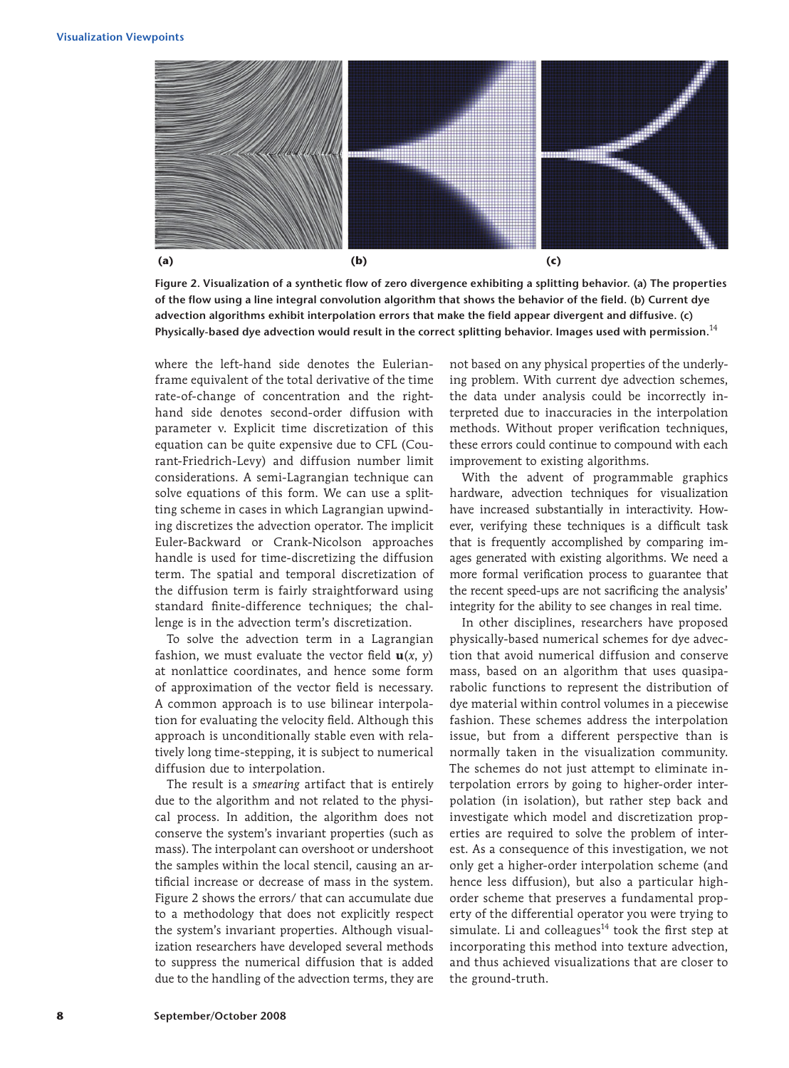

Figure 2. Visualization of a synthetic flow of zero divergence exhibiting a splitting behavior. (a) The properties of the flow using a line integral convolution algorithm that shows the behavior of the field. (b) Current dye **advection algorithms exhibit interpolation errors that make the field appear divergent and diffusive. (c) Physically-based dye advection would result in the correct splitting behavior. Images used with permission.**<sup>14</sup>

where the left-hand side denotes the Eulerianframe equivalent of the total derivative of the time rate-of-change of concentration and the righthand side denotes second-order diffusion with parameter ν. Explicit time discretization of this equation can be quite expensive due to CFL (Courant-Friedrich-Levy) and diffusion number limit considerations. A semi-Lagrangian technique can solve equations of this form. We can use a splitting scheme in cases in which Lagrangian upwinding discretizes the advection operator. The implicit Euler-Backward or Crank-Nicolson approaches handle is used for time-discretizing the diffusion term. The spatial and temporal discretization of the diffusion term is fairly straightforward using standard finite-difference techniques; the challenge is in the advection term's discretization.

To solve the advection term in a Lagrangian fashion, we must evaluate the vector field  $\mathbf{u}(x, y)$ at nonlattice coordinates, and hence some form of approximation of the vector field is necessary. A common approach is to use bilinear interpolation for evaluating the velocity field. Although this approach is unconditionally stable even with relatively long time-stepping, it is subject to numerical diffusion due to interpolation.

The result is a *smearing* artifact that is entirely due to the algorithm and not related to the physical process. In addition, the algorithm does not conserve the system's invariant properties (such as mass). The interpolant can overshoot or undershoot the samples within the local stencil, causing an artificial increase or decrease of mass in the system. Figure 2 shows the errors/ that can accumulate due to a methodology that does not explicitly respect the system's invariant properties. Although visualization researchers have developed several methods to suppress the numerical diffusion that is added due to the handling of the advection terms, they are

not based on any physical properties of the underlying problem. With current dye advection schemes, the data under analysis could be incorrectly interpreted due to inaccuracies in the interpolation methods. Without proper verification techniques, these errors could continue to compound with each improvement to existing algorithms.

With the advent of programmable graphics hardware, advection techniques for visualization have increased substantially in interactivity. However, verifying these techniques is a difficult task that is frequently accomplished by comparing images generated with existing algorithms. We need a more formal verification process to guarantee that the recent speed-ups are not sacrificing the analysis' integrity for the ability to see changes in real time.

In other disciplines, researchers have proposed physically-based numerical schemes for dye advection that avoid numerical diffusion and conserve mass, based on an algorithm that uses quasiparabolic functions to represent the distribution of dye material within control volumes in a piecewise fashion. These schemes address the interpolation issue, but from a different perspective than is normally taken in the visualization community. The schemes do not just attempt to eliminate interpolation errors by going to higher-order interpolation (in isolation), but rather step back and investigate which model and discretization properties are required to solve the problem of interest. As a consequence of this investigation, we not only get a higher-order interpolation scheme (and hence less diffusion), but also a particular highorder scheme that preserves a fundamental property of the differential operator you were trying to simulate. Li and colleagues $14$  took the first step at incorporating this method into texture advection, and thus achieved visualizations that are closer to the ground-truth.